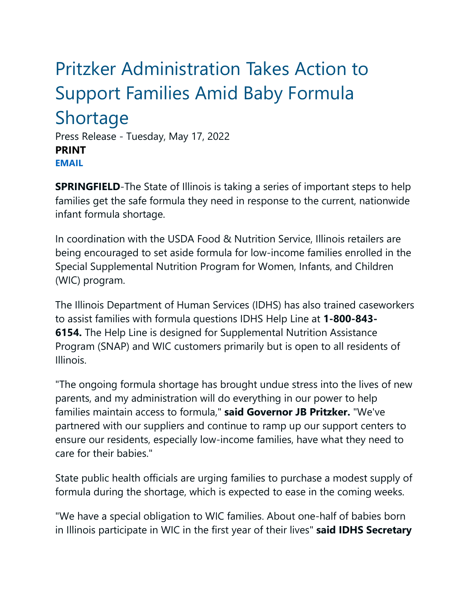## Pritzker Administration Takes Action to Support Families Amid Baby Formula Shortage

Press Release - Tuesday, May 17, 2022 **PRINT [EMAIL](mailto:?subject=I%20thought%20you%20might%20find%20this%20interesting&body=https://www.illinois.gov/news/press-release.24919.html)**

**SPRINGFIELD**-The State of Illinois is taking a series of important steps to help families get the safe formula they need in response to the current, nationwide infant formula shortage.

In coordination with the USDA Food & Nutrition Service, Illinois retailers are being encouraged to set aside formula for low-income families enrolled in the Special Supplemental Nutrition Program for Women, Infants, and Children (WIC) program.

The Illinois Department of Human Services (IDHS) has also trained caseworkers to assist families with formula questions IDHS Help Line at **1-800-843- 6154.** The Help Line is designed for Supplemental Nutrition Assistance Program (SNAP) and WIC customers primarily but is open to all residents of Illinois.

"The ongoing formula shortage has brought undue stress into the lives of new parents, and my administration will do everything in our power to help families maintain access to formula," **said Governor JB Pritzker.** "We've partnered with our suppliers and continue to ramp up our support centers to ensure our residents, especially low-income families, have what they need to care for their babies."

State public health officials are urging families to purchase a modest supply of formula during the shortage, which is expected to ease in the coming weeks.

"We have a special obligation to WIC families. About one-half of babies born in Illinois participate in WIC in the first year of their lives" **said IDHS Secretary**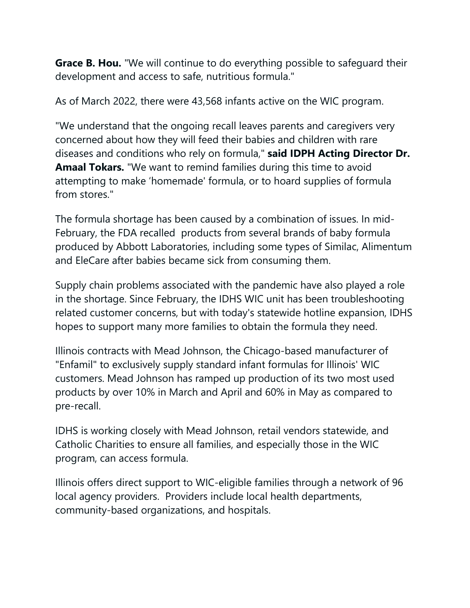**Grace B. Hou.** "We will continue to do everything possible to safeguard their development and access to safe, nutritious formula."

As of March 2022, there were 43,568 infants active on the WIC program.

"We understand that the ongoing recall leaves parents and caregivers very concerned about how they will feed their babies and children with rare diseases and conditions who rely on formula," **said IDPH Acting Director Dr. Amaal Tokars.** "We want to remind families during this time to avoid attempting to make 'homemade' formula, or to hoard supplies of formula from stores."

The formula shortage has been caused by a combination of issues. In mid-February, the FDA recalled products from several brands of baby formula produced by Abbott Laboratories, including some types of Similac, Alimentum and EleCare after babies became sick from consuming them.

Supply chain problems associated with the pandemic have also played a role in the shortage. Since February, the IDHS WIC unit has been troubleshooting related customer concerns, but with today's statewide hotline expansion, IDHS hopes to support many more families to obtain the formula they need.

Illinois contracts with Mead Johnson, the Chicago-based manufacturer of "Enfamil" to exclusively supply standard infant formulas for Illinois' WIC customers. Mead Johnson has ramped up production of its two most used products by over 10% in March and April and 60% in May as compared to pre-recall.

IDHS is working closely with Mead Johnson, retail vendors statewide, and Catholic Charities to ensure all families, and especially those in the WIC program, can access formula.

Illinois offers direct support to WIC-eligible families through a network of 96 local agency providers. Providers include local health departments, community-based organizations, and hospitals.